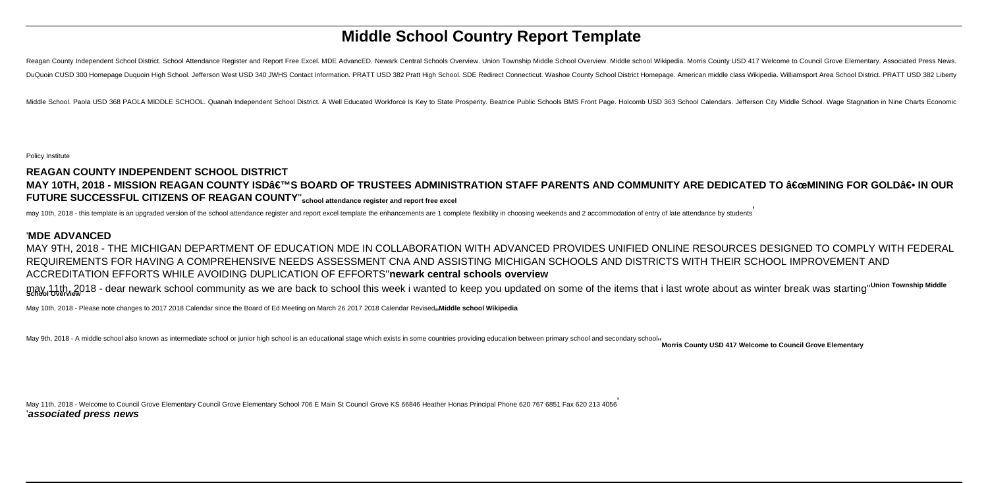# **Middle School Country Report Template**

Reagan County Independent School District. School Attendance Register and Report Free Excel. MDE AdvancED. Newark Central Schools Overview. Union Township Middle School Overview. Middle school Wikipedia. Morris County USD DuQuoin CUSD 300 Homepage Duquoin High School. Jefferson West USD 340 JWHS Contact Information. PRATT USD 382 Pratt High School. SDE Redirect Connecticut. Washoe County School District Homepage. American middle class Wikip

Middle School, Paola USD 368 PAOLA MIDDLE SCHOOL, Quanab Independent School District, A Well Educated Workforce Is Key to State Prosperity, Beatrice Public Schools BMS Front Page, Holcomb USD 363 School Calendars, Jefferso

Policy Institute

# **REAGAN COUNTY INDEPENDENT SCHOOL DISTRICT** MAY 10TH, 2018 - MISSION REAGAN COUNTY ISD'S BOARD OF TRUSTEES ADMINISTRATION STAFF PARENTS AND COMMUNITY ARE DEDICATED TO "MINING FOR GOLD― IN OUR **FUTURE SUCCESSFUL CITIZENS OF REAGAN COUNTY**''**school attendance register and report free excel**

may 10th, 2018 - this template is an upgraded version of the school attendance register and report excel template the enhancements are 1 complete flexibility in choosing weekends and 2 accommodation of entry of late attend

### '**MDE ADVANCED**

MAY 9TH, 2018 - THE MICHIGAN DEPARTMENT OF EDUCATION MDE IN COLLABORATION WITH ADVANCED PROVIDES UNIFIED ONLINE RESOURCES DESIGNED TO COMPLY WITH FEDERAL REQUIREMENTS FOR HAVING A COMPREHENSIVE NEEDS ASSESSMENT CNA AND ASSISTING MICHIGAN SCHOOLS AND DISTRICTS WITH THEIR SCHOOL IMPROVEMENT AND ACCREDITATION EFFORTS WHILE AVOIDING DUPLICATION OF EFFORTS''**newark central schools overview**

may 11th, 2018 - dear newark school community as we are back to school this week i wanted to keep you updated on some of the items that i last wrote about as winter break was starting" Union Township Middle

May 10th, 2018 - Please note changes to 2017 2018 Calendar since the Board of Ed Meeting on March 26 2017 2018 Calendar Revised<sub>11</sub>Middle school Wikipedia

May 9th, 2018 - A middle school also known as intermediate school or junior high school is an educational stage which exists in some countries providing education between primary school and secondary school<sub>1</sub> Morris Count

May 11th, 2018 - Welcome to Council Grove Elementary Council Grove Elementary School 706 E Main St Council Grove KS 66846 Heather Honas Principal Phone 620 767 6851 Fax 620 213 4056 '**associated press news**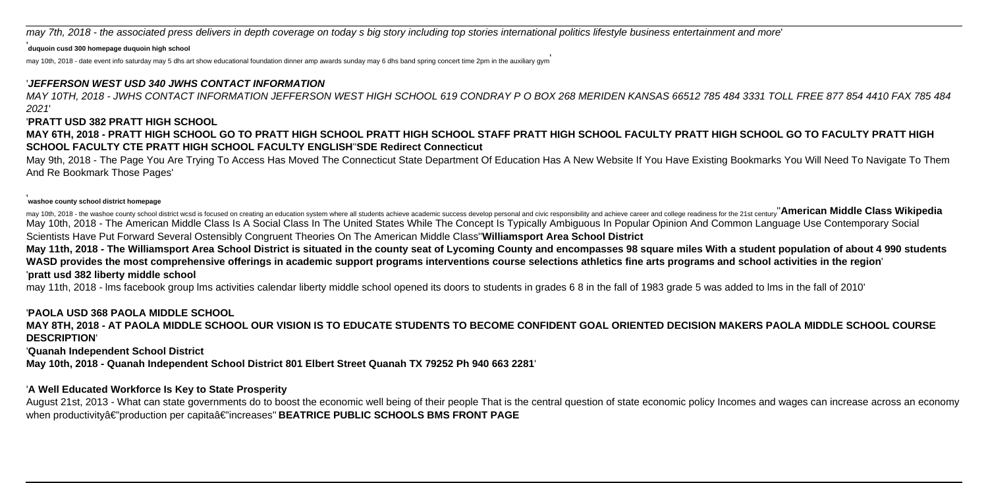may 7th, 2018 - the associated press delivers in depth coverage on today s big story including top stories international politics lifestyle business entertainment and more'

### '**duquoin cusd 300 homepage duquoin high school**

may 10th, 2018 - date event info saturday may 5 dhs art show educational foundation dinner amp awards sunday may 6 dhs band spring concert time 2pm in the auxiliary gym

# '**JEFFERSON WEST USD 340 JWHS CONTACT INFORMATION**

MAY 10TH, 2018 - JWHS CONTACT INFORMATION JEFFERSON WEST HIGH SCHOOL 619 CONDRAY P O BOX 268 MERIDEN KANSAS 66512 785 484 3331 TOLL FREE 877 854 4410 FAX 785 484 2021'

### '**PRATT USD 382 PRATT HIGH SCHOOL**

**MAY 6TH, 2018 - PRATT HIGH SCHOOL GO TO PRATT HIGH SCHOOL PRATT HIGH SCHOOL STAFF PRATT HIGH SCHOOL FACULTY PRATT HIGH SCHOOL GO TO FACULTY PRATT HIGH SCHOOL FACULTY CTE PRATT HIGH SCHOOL FACULTY ENGLISH**''**SDE Redirect Connecticut**

May 9th, 2018 - The Page You Are Trying To Access Has Moved The Connecticut State Department Of Education Has A New Website If You Have Existing Bookmarks You Will Need To Navigate To Them And Re Bookmark Those Pages'

#### '**washoe county school district homepage**

may 10th, 2018 - the washoe county school district wcsd is focused on creating an education system where all students achieve academic success develop personal and civic responsibility and achieve career and college readin May 10th, 2018 - The American Middle Class Is A Social Class In The United States While The Concept Is Typically Ambiguous In Popular Opinion And Common Language Use Contemporary Social Scientists Have Put Forward Several Ostensibly Congruent Theories On The American Middle Class''**Williamsport Area School District**

**May 11th, 2018 - The Williamsport Area School District is situated in the county seat of Lycoming County and encompasses 98 square miles With a student population of about 4 990 students WASD provides the most comprehensive offerings in academic support programs interventions course selections athletics fine arts programs and school activities in the region**' '**pratt usd 382 liberty middle school**

may 11th, 2018 - lms facebook group lms activities calendar liberty middle school opened its doors to students in grades 6 8 in the fall of 1983 grade 5 was added to lms in the fall of 2010'

# '**PAOLA USD 368 PAOLA MIDDLE SCHOOL**

**MAY 8TH, 2018 - AT PAOLA MIDDLE SCHOOL OUR VISION IS TO EDUCATE STUDENTS TO BECOME CONFIDENT GOAL ORIENTED DECISION MAKERS PAOLA MIDDLE SCHOOL COURSE DESCRIPTION**'

### '**Quanah Independent School District**

**May 10th, 2018 - Quanah Independent School District 801 Elbert Street Quanah TX 79252 Ph 940 663 2281**'

# '**A Well Educated Workforce Is Key to State Prosperity**

August 21st, 2013 - What can state governments do to boost the economic well being of their people That is the central question of state economic policy Incomes and wages can increase across an economy when productivityâ€"production per capitaâ€"increases"BEATRICE PUBLIC SCHOOLS BMS FRONT PAGE